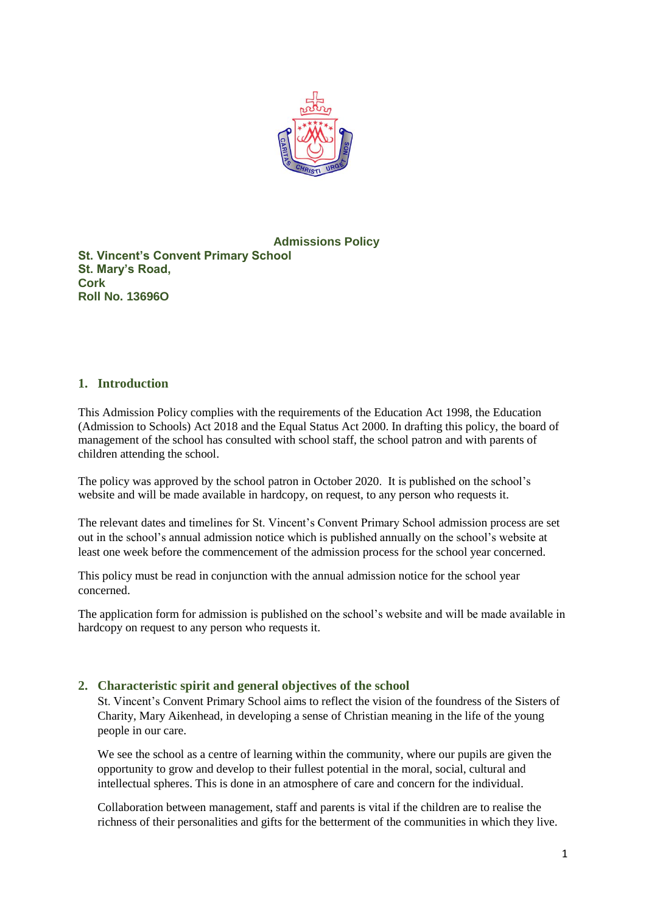

## **Admissions Policy**

**St. Vincent's Convent Primary School St. Mary's Road, Cork Roll No. 13696O**

## **1. Introduction**

This Admission Policy complies with the requirements of the Education Act 1998, the Education (Admission to Schools) Act 2018 and the Equal Status Act 2000. In drafting this policy, the board of management of the school has consulted with school staff, the school patron and with parents of children attending the school.

The policy was approved by the school patron in October 2020. It is published on the school's website and will be made available in hardcopy, on request, to any person who requests it.

The relevant dates and timelines for St. Vincent's Convent Primary School admission process are set out in the school's annual admission notice which is published annually on the school's website at least one week before the commencement of the admission process for the school year concerned.

This policy must be read in conjunction with the annual admission notice for the school year concerned.

The application form for admission is published on the school's website and will be made available in hardcopy on request to any person who requests it.

## **2. Characteristic spirit and general objectives of the school**

St. Vincent's Convent Primary School aims to reflect the vision of the foundress of the Sisters of Charity, Mary Aikenhead, in developing a sense of Christian meaning in the life of the young people in our care.

We see the school as a centre of learning within the community, where our pupils are given the opportunity to grow and develop to their fullest potential in the moral, social, cultural and intellectual spheres. This is done in an atmosphere of care and concern for the individual.

Collaboration between management, staff and parents is vital if the children are to realise the richness of their personalities and gifts for the betterment of the communities in which they live.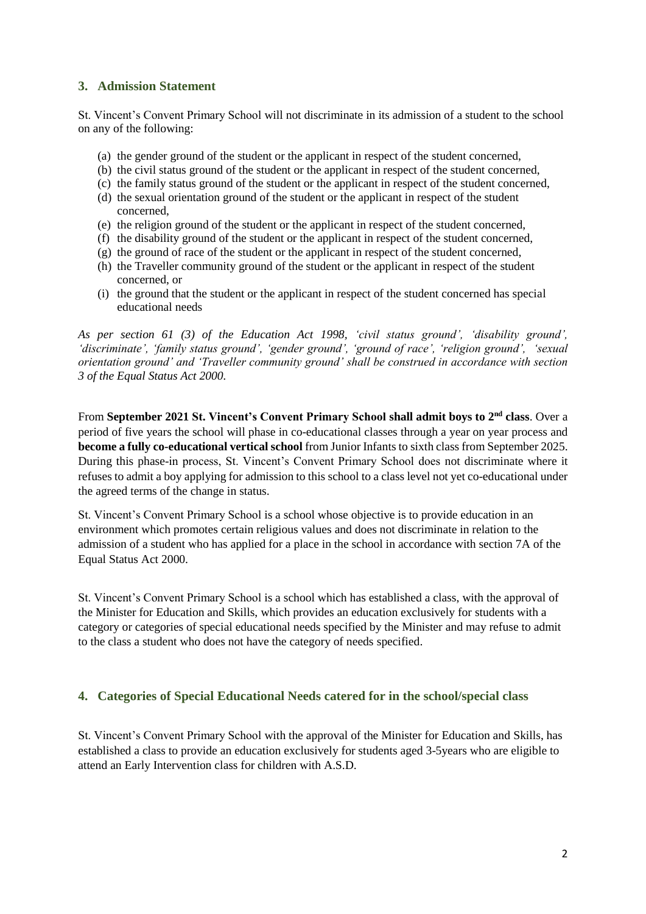## **3. Admission Statement**

St. Vincent's Convent Primary School will not discriminate in its admission of a student to the school on any of the following:

- (a) the gender ground of the student or the applicant in respect of the student concerned,
- (b) the civil status ground of the student or the applicant in respect of the student concerned,
- (c) the family status ground of the student or the applicant in respect of the student concerned,
- (d) the sexual orientation ground of the student or the applicant in respect of the student concerned,
- (e) the religion ground of the student or the applicant in respect of the student concerned,
- (f) the disability ground of the student or the applicant in respect of the student concerned,
- (g) the ground of race of the student or the applicant in respect of the student concerned,
- (h) the Traveller community ground of the student or the applicant in respect of the student concerned, or
- (i) the ground that the student or the applicant in respect of the student concerned has special educational needs

*As per section 61 (3) of the Education Act 1998, 'civil status ground', 'disability ground', 'discriminate', 'family status ground', 'gender ground', 'ground of race', 'religion ground', 'sexual orientation ground' and 'Traveller community ground' shall be construed in accordance with section 3 of the Equal Status Act 2000.*

From **September 2021 St. Vincent's Convent Primary School shall admit boys to 2nd class**. Over a period of five years the school will phase in co-educational classes through a year on year process and **become a fully co-educational vertical school** from Junior Infants to sixth class from September 2025. During this phase-in process, St. Vincent's Convent Primary School does not discriminate where it refuses to admit a boy applying for admission to this school to a class level not yet co-educational under the agreed terms of the change in status.

St. Vincent's Convent Primary School is a school whose objective is to provide education in an environment which promotes certain religious values and does not discriminate in relation to the admission of a student who has applied for a place in the school in accordance with section 7A of the Equal Status Act 2000.

St. Vincent's Convent Primary School is a school which has established a class, with the approval of the Minister for Education and Skills, which provides an education exclusively for students with a category or categories of special educational needs specified by the Minister and may refuse to admit to the class a student who does not have the category of needs specified.

## **4. Categories of Special Educational Needs catered for in the school/special class**

St. Vincent's Convent Primary School with the approval of the Minister for Education and Skills, has established a class to provide an education exclusively for students aged 3-5years who are eligible to attend an Early Intervention class for children with A.S.D.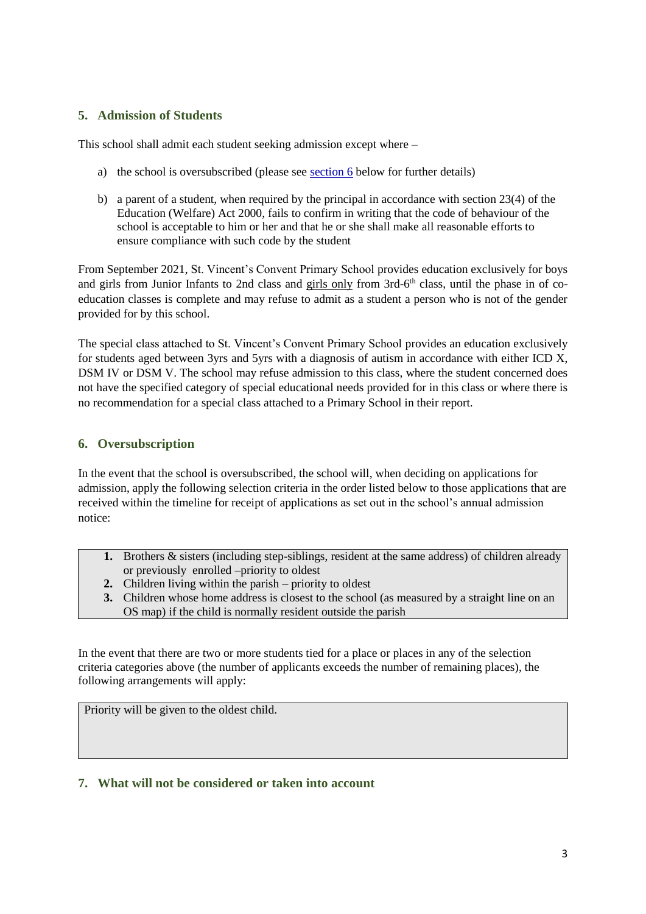## **5. Admission of Students**

This school shall admit each student seeking admission except where –

- a) the school is oversubscribed (please see [section 6](#page-2-0) below for further details)
- b) a parent of a student, when required by the principal in accordance with section 23(4) of the Education (Welfare) Act 2000, fails to confirm in writing that the code of behaviour of the school is acceptable to him or her and that he or she shall make all reasonable efforts to ensure compliance with such code by the student

From September 2021, St. Vincent's Convent Primary School provides education exclusively for boys and girls from Junior Infants to 2nd class and girls only from 3rd-6<sup>th</sup> class, until the phase in of coeducation classes is complete and may refuse to admit as a student a person who is not of the gender provided for by this school.

The special class attached to St. Vincent's Convent Primary School provides an education exclusively for students aged between 3yrs and 5yrs with a diagnosis of autism in accordance with either ICD X, DSM IV or DSM V. The school may refuse admission to this class, where the student concerned does not have the specified category of special educational needs provided for in this class or where there is no recommendation for a special class attached to a Primary School in their report.

## <span id="page-2-0"></span>**6. Oversubscription**

In the event that the school is oversubscribed, the school will, when deciding on applications for admission, apply the following selection criteria in the order listed below to those applications that are received within the timeline for receipt of applications as set out in the school's annual admission notice:

- **1.** Brothers & sisters (including step-siblings, resident at the same address) of children already or previously enrolled –priority to oldest
- **2.** Children living within the parish priority to oldest
- **3.** Children whose home address is closest to the school (as measured by a straight line on an OS map) if the child is normally resident outside the parish

In the event that there are two or more students tied for a place or places in any of the selection criteria categories above (the number of applicants exceeds the number of remaining places), the following arrangements will apply:

Priority will be given to the oldest child.

## **7. What will not be considered or taken into account**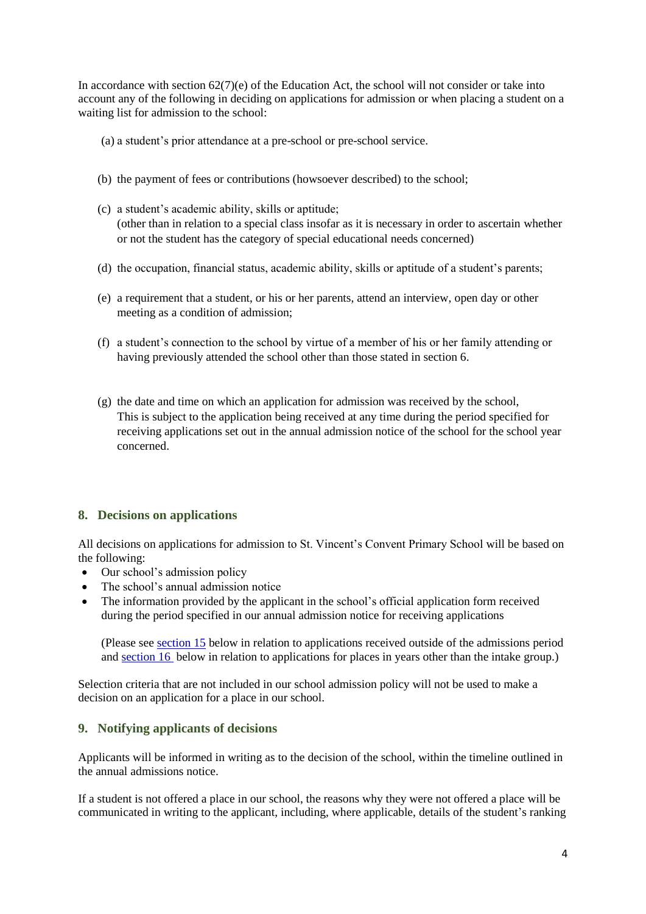In accordance with section  $62(7)(e)$  of the Education Act, the school will not consider or take into account any of the following in deciding on applications for admission or when placing a student on a waiting list for admission to the school:

- (a) a student's prior attendance at a pre-school or pre-school service.
- (b) the payment of fees or contributions (howsoever described) to the school;
- (c) a student's academic ability, skills or aptitude; (other than in relation to a special class insofar as it is necessary in order to ascertain whether or not the student has the category of special educational needs concerned)
- (d) the occupation, financial status, academic ability, skills or aptitude of a student's parents;
- (e) a requirement that a student, or his or her parents, attend an interview, open day or other meeting as a condition of admission;
- (f) a student's connection to the school by virtue of a member of his or her family attending or having previously attended the school other than those stated in section 6.
- (g) the date and time on which an application for admission was received by the school, This is subject to the application being received at any time during the period specified for receiving applications set out in the annual admission notice of the school for the school year concerned.

## **8. Decisions on applications**

All decisions on applications for admission to St. Vincent's Convent Primary School will be based on the following:

- Our school's admission policy
- The school's annual admission notice
- The information provided by the applicant in the school's official application form received during the period specified in our annual admission notice for receiving applications

(Please se[e section 15](#page-5-0) below in relation to applications received outside of the admissions period and [section 16](#page-5-1) below in relation to applications for places in years other than the intake group.)

Selection criteria that are not included in our school admission policy will not be used to make a decision on an application for a place in our school.

## **9. Notifying applicants of decisions**

Applicants will be informed in writing as to the decision of the school, within the timeline outlined in the annual admissions notice.

If a student is not offered a place in our school, the reasons why they were not offered a place will be communicated in writing to the applicant, including, where applicable, details of the student's ranking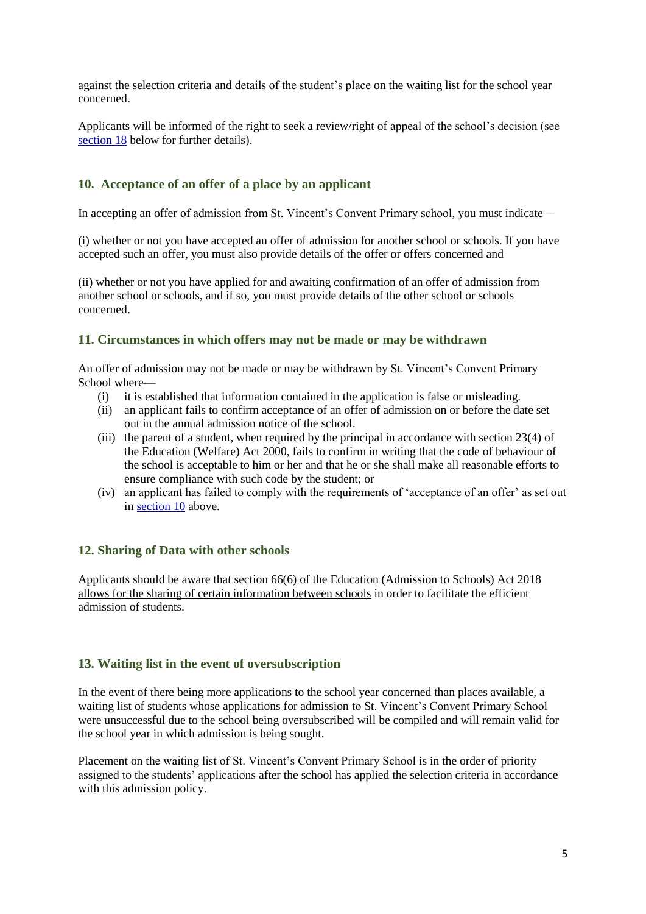against the selection criteria and details of the student's place on the waiting list for the school year concerned.

Applicants will be informed of the right to seek a review/right of appeal of the school's decision (see [section 18](#page-6-0) below for further details).

## <span id="page-4-0"></span>**10. Acceptance of an offer of a place by an applicant**

In accepting an offer of admission from St. Vincent's Convent Primary school, you must indicate—

(i) whether or not you have accepted an offer of admission for another school or schools. If you have accepted such an offer, you must also provide details of the offer or offers concerned and

(ii) whether or not you have applied for and awaiting confirmation of an offer of admission from another school or schools, and if so, you must provide details of the other school or schools concerned.

#### **11. Circumstances in which offers may not be made or may be withdrawn**

An offer of admission may not be made or may be withdrawn by St. Vincent's Convent Primary School where—

- (i) it is established that information contained in the application is false or misleading.
- (ii) an applicant fails to confirm acceptance of an offer of admission on or before the date set out in the annual admission notice of the school.
- (iii) the parent of a student, when required by the principal in accordance with section 23(4) of the Education (Welfare) Act 2000, fails to confirm in writing that the code of behaviour of the school is acceptable to him or her and that he or she shall make all reasonable efforts to ensure compliance with such code by the student; or
- (iv) an applicant has failed to comply with the requirements of 'acceptance of an offer' as set out in [section 10](#page-4-0) above.

## **12. Sharing of Data with other schools**

Applicants should be aware that section 66(6) of the Education (Admission to Schools) Act 2018 allows for the sharing of certain information between schools in order to facilitate the efficient admission of students.

## **13. Waiting list in the event of oversubscription**

In the event of there being more applications to the school year concerned than places available, a waiting list of students whose applications for admission to St. Vincent's Convent Primary School were unsuccessful due to the school being oversubscribed will be compiled and will remain valid for the school year in which admission is being sought.

Placement on the waiting list of St. Vincent's Convent Primary School is in the order of priority assigned to the students' applications after the school has applied the selection criteria in accordance with this admission policy.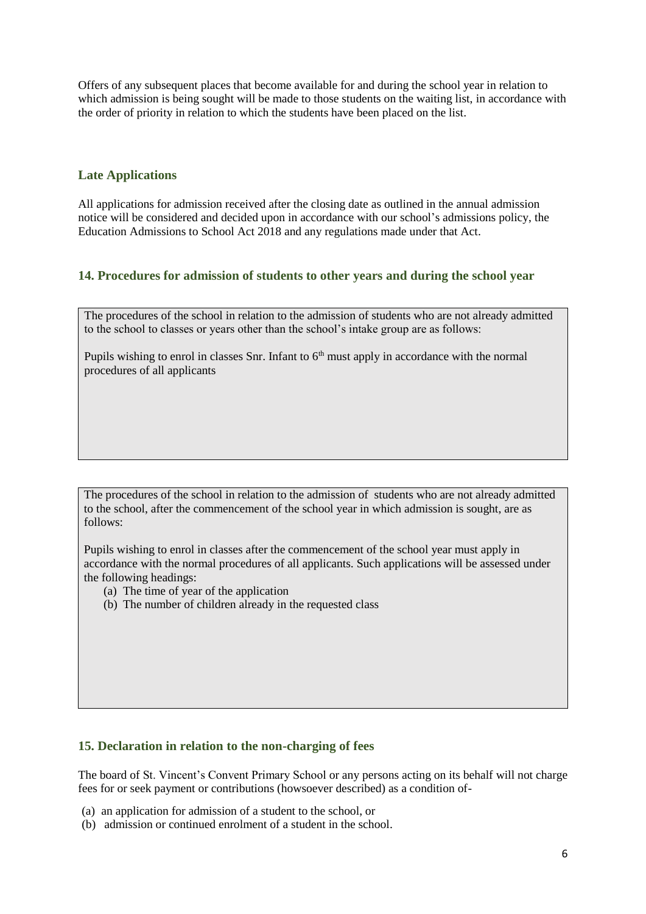Offers of any subsequent places that become available for and during the school year in relation to which admission is being sought will be made to those students on the waiting list, in accordance with the order of priority in relation to which the students have been placed on the list.

## **Late Applications**

All applications for admission received after the closing date as outlined in the annual admission notice will be considered and decided upon in accordance with our school's admissions policy, the Education Admissions to School Act 2018 and any regulations made under that Act.

## <span id="page-5-0"></span>**14. Procedures for admission of students to other years and during the school year**

The procedures of the school in relation to the admission of students who are not already admitted to the school to classes or years other than the school's intake group are as follows:

Pupils wishing to enrol in classes Snr. Infant to  $6<sup>th</sup>$  must apply in accordance with the normal procedures of all applicants

The procedures of the school in relation to the admission of students who are not already admitted to the school, after the commencement of the school year in which admission is sought, are as follows:

Pupils wishing to enrol in classes after the commencement of the school year must apply in accordance with the normal procedures of all applicants. Such applications will be assessed under the following headings:

- (a) The time of year of the application
- (b) The number of children already in the requested class

## <span id="page-5-1"></span>**15. Declaration in relation to the non-charging of fees**

The board of St. Vincent's Convent Primary School or any persons acting on its behalf will not charge fees for or seek payment or contributions (howsoever described) as a condition of-

- (a) an application for admission of a student to the school, or
- (b) admission or continued enrolment of a student in the school.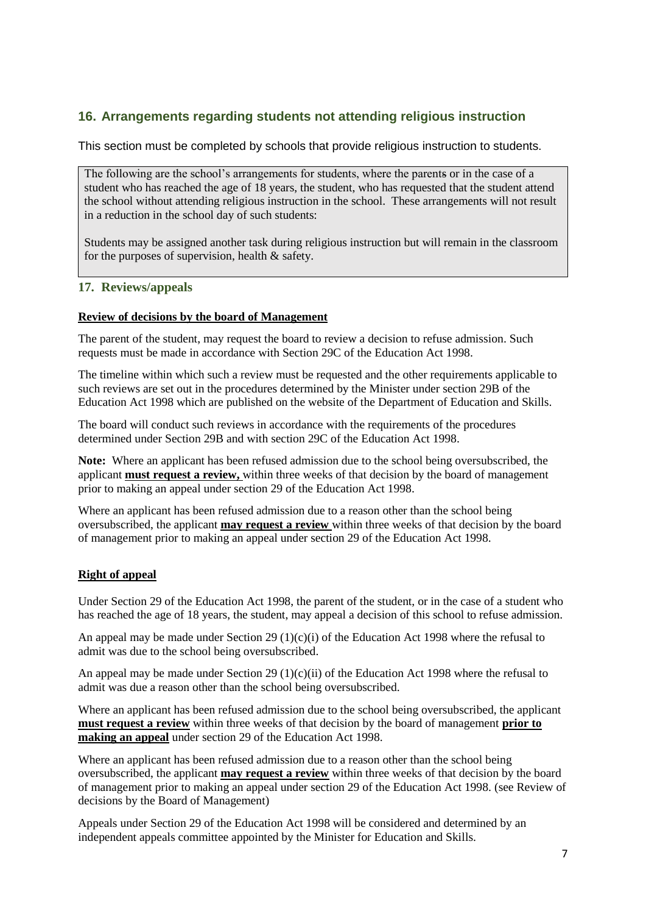# **16. Arrangements regarding students not attending religious instruction**

This section must be completed by schools that provide religious instruction to students.

The following are the school's arrangements for students, where the parents or in the case of a student who has reached the age of 18 years, the student, who has requested that the student attend the school without attending religious instruction in the school. These arrangements will not result in a reduction in the school day of such students:

Students may be assigned another task during religious instruction but will remain in the classroom for the purposes of supervision, health & safety.

## <span id="page-6-0"></span>**17. Reviews/appeals**

#### **Review of decisions by the board of Management**

The parent of the student, may request the board to review a decision to refuse admission. Such requests must be made in accordance with Section 29C of the Education Act 1998.

The timeline within which such a review must be requested and the other requirements applicable to such reviews are set out in the procedures determined by the Minister under section 29B of the Education Act 1998 which are published on the website of the Department of Education and Skills.

The board will conduct such reviews in accordance with the requirements of the procedures determined under Section 29B and with section 29C of the Education Act 1998.

**Note:** Where an applicant has been refused admission due to the school being oversubscribed, the applicant **must request a review,** within three weeks of that decision by the board of management prior to making an appeal under section 29 of the Education Act 1998.

Where an applicant has been refused admission due to a reason other than the school being oversubscribed, the applicant **may request a review** within three weeks of that decision by the board of management prior to making an appeal under section 29 of the Education Act 1998.

## **Right of appeal**

Under Section 29 of the Education Act 1998, the parent of the student, or in the case of a student who has reached the age of 18 years, the student, may appeal a decision of this school to refuse admission.

An appeal may be made under Section 29 (1)(c)(i) of the Education Act 1998 where the refusal to admit was due to the school being oversubscribed.

An appeal may be made under Section 29 (1)(c)(ii) of the Education Act 1998 where the refusal to admit was due a reason other than the school being oversubscribed.

Where an applicant has been refused admission due to the school being oversubscribed, the applicant **must request a review** within three weeks of that decision by the board of management **prior to making an appeal** under section 29 of the Education Act 1998.

Where an applicant has been refused admission due to a reason other than the school being oversubscribed, the applicant **may request a review** within three weeks of that decision by the board of management prior to making an appeal under section 29 of the Education Act 1998. (see Review of decisions by the Board of Management)

Appeals under Section 29 of the Education Act 1998 will be considered and determined by an independent appeals committee appointed by the Minister for Education and Skills.